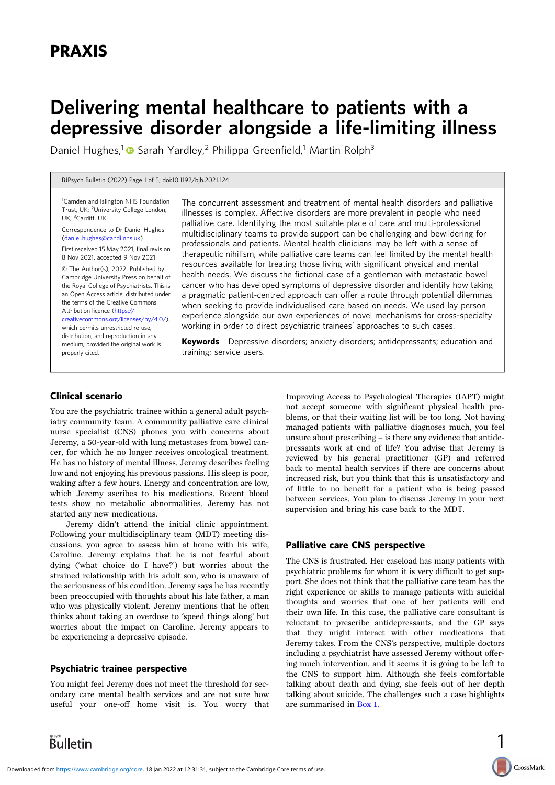# Delivering mental healthcare to patients with a depressive disorder alongside a life-limiting illness

Daniel Hughes,<sup>1</sup> Sarah Yardley,<sup>2</sup> Philippa Greenfield,<sup>1</sup> Martin Rolph<sup>3</sup>

BJPsych Bulletin (2022) Page 1 of 5, doi:10.1192/bjb.2021.124

<sup>1</sup> Camden and Islington NHS Foundation Trust, UK; <sup>2</sup>University College London, UK; <sup>3</sup>Cardiff, UK

Correspondence to Dr Daniel Hughes [\(daniel.hughes@candi.nhs.uk\)](mailto:daniel.hughes@candi.nhs.uk)

First received 15 May 2021, final revision 8 Nov 2021, accepted 9 Nov 2021

© The Author(s), 2022. Published by Cambridge University Press on behalf of the Royal College of Psychiatrists. This is an Open Access article, distributed under the terms of the Creative Commons Attribution licence ([https://](https://creativecommons.org/licenses/by/4.0/)

[creativecommons.org/licenses/by/4.0/](https://creativecommons.org/licenses/by/4.0/)), which permits unrestricted re-use, distribution, and reproduction in any

medium, provided the original work is properly cited.

The concurrent assessment and treatment of mental health disorders and palliative illnesses is complex. Affective disorders are more prevalent in people who need palliative care. Identifying the most suitable place of care and multi-professional multidisciplinary teams to provide support can be challenging and bewildering for professionals and patients. Mental health clinicians may be left with a sense of therapeutic nihilism, while palliative care teams can feel limited by the mental health resources available for treating those living with significant physical and mental health needs. We discuss the fictional case of a gentleman with metastatic bowel cancer who has developed symptoms of depressive disorder and identify how taking a pragmatic patient-centred approach can offer a route through potential dilemmas when seeking to provide individualised care based on needs. We used lay person experience alongside our own experiences of novel mechanisms for cross-specialty working in order to direct psychiatric trainees' approaches to such cases.

Keywords Depressive disorders; anxiety disorders; antidepressants; education and training; service users.

## Clinical scenario

You are the psychiatric trainee within a general adult psychiatry community team. A community palliative care clinical nurse specialist (CNS) phones you with concerns about Jeremy, a 50-year-old with lung metastases from bowel cancer, for which he no longer receives oncological treatment. He has no history of mental illness. Jeremy describes feeling low and not enjoying his previous passions. His sleep is poor, waking after a few hours. Energy and concentration are low, which Jeremy ascribes to his medications. Recent blood tests show no metabolic abnormalities. Jeremy has not started any new medications.

Jeremy didn't attend the initial clinic appointment. Following your multidisciplinary team (MDT) meeting discussions, you agree to assess him at home with his wife, Caroline. Jeremy explains that he is not fearful about dying ('what choice do I have?') but worries about the strained relationship with his adult son, who is unaware of the seriousness of his condition. Jeremy says he has recently been preoccupied with thoughts about his late father, a man who was physically violent. Jeremy mentions that he often thinks about taking an overdose to 'speed things along' but worries about the impact on Caroline. Jeremy appears to be experiencing a depressive episode.

# Psychiatric trainee perspective

You might feel Jeremy does not meet the threshold for secondary care mental health services and are not sure how useful your one-off home visit is. You worry that Improving Access to Psychological Therapies (IAPT) might not accept someone with significant physical health problems, or that their waiting list will be too long. Not having managed patients with palliative diagnoses much, you feel unsure about prescribing – is there any evidence that antidepressants work at end of life? You advise that Jeremy is reviewed by his general practitioner (GP) and referred back to mental health services if there are concerns about increased risk, but you think that this is unsatisfactory and of little to no benefit for a patient who is being passed between services. You plan to discuss Jeremy in your next supervision and bring his case back to the MDT.

# Palliative care CNS perspective

The CNS is frustrated. Her caseload has many patients with psychiatric problems for whom it is very difficult to get support. She does not think that the palliative care team has the right experience or skills to manage patients with suicidal thoughts and worries that one of her patients will end their own life. In this case, the palliative care consultant is reluctant to prescribe antidepressants, and the GP says that they might interact with other medications that Jeremy takes. From the CNS's perspective, multiple doctors including a psychiatrist have assessed Jeremy without offering much intervention, and it seems it is going to be left to the CNS to support him. Although she feels comfortable talking about death and dying, she feels out of her depth talking about suicide. The challenges such a case highlights are summarised in [Box 1.](#page-1-0)

1

CrossMark

**Bulletin**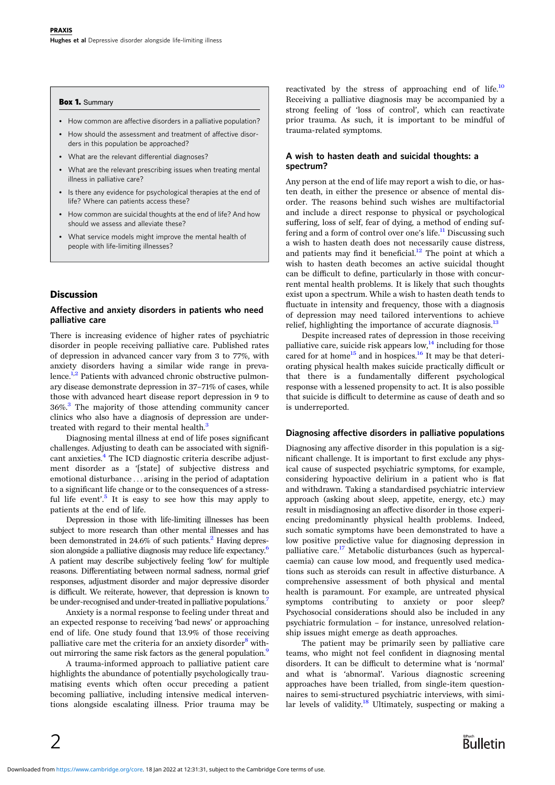#### <span id="page-1-0"></span>Box 1. Summary

- How common are affective disorders in a palliative population?
- How should the assessment and treatment of affective disorders in this population be approached?
- What are the relevant differential diagnoses?
- What are the relevant prescribing issues when treating mental illness in palliative care?
- Is there any evidence for psychological therapies at the end of life? Where can patients access these?
- How common are suicidal thoughts at the end of life? And how should we assess and alleviate these?
- What service models might improve the mental health of people with life-limiting illnesses?

# Discussion

 $\mathcal{P}$ 

#### Affective and anxiety disorders in patients who need palliative care

There is increasing evidence of higher rates of psychiatric disorder in people receiving palliative care. Published rates of depression in advanced cancer vary from 3 to 77%, with anxiety disorders having a similar wide range in prevalence.<sup>1,2</sup> Patients with advanced chronic obstructive pulmonary disease demonstrate depression in 37–71% of cases, while those with advanced heart disease report depression in 9 to  $36\%$  $36\%$ <sup>3</sup>. The majority of those attending community cancer clinics who also have a diagnosis of depression are undertreated with regard to their mental health.<sup>3</sup>

Diagnosing mental illness at end of life poses significant challenges. Adjusting to death can be associated with significant anxieties. $4$  The ICD diagnostic criteria describe adjustment disorder as a '[state] of subjective distress and emotional disturbance ... arising in the period of adaptation to a significant life change or to the consequences of a stress-ful life event'.<sup>[5](#page-4-0)</sup> It is easy to see how this may apply to patients at the end of life.

Depression in those with life-limiting illnesses has been subject to more research than other mental illnesses and has been demonstrated in  $24.6\%$  $24.6\%$  of such patients.<sup>2</sup> Having depression alongside a palliative diagnosis may reduce life expectancy.<sup>6</sup> A patient may describe subjectively feeling 'low' for multiple reasons. Differentiating between normal sadness, normal grief responses, adjustment disorder and major depressive disorder is difficult. We reiterate, however, that depression is known to be under-recognised and under-treated in palliative populations.<sup>7</sup>

Anxiety is a normal response to feeling under threat and an expected response to receiving 'bad news' or approaching end of life. One study found that 13.9% of those receiving palliative care met the criteria for an anxiety disorder<sup>[8](#page-4-0)</sup> without mirroring the same risk factors as the general population.<sup>9</sup>

A trauma-informed approach to palliative patient care highlights the abundance of potentially psychologically traumatising events which often occur preceding a patient becoming palliative, including intensive medical interventions alongside escalating illness. Prior trauma may be

reactivated by the stress of approaching end of life.<sup>[10](#page-4-0)</sup> Receiving a palliative diagnosis may be accompanied by a strong feeling of 'loss of control', which can reactivate prior trauma. As such, it is important to be mindful of trauma-related symptoms.

# A wish to hasten death and suicidal thoughts: a spectrum?

Any person at the end of life may report a wish to die, or hasten death, in either the presence or absence of mental disorder. The reasons behind such wishes are multifactorial and include a direct response to physical or psychological suffering, loss of self, fear of dying, a method of ending suf-fering and a form of control over one's life.<sup>[11](#page-4-0)</sup> Discussing such a wish to hasten death does not necessarily cause distress, and patients may find it beneficial.<sup>12</sup> The point at which a wish to hasten death becomes an active suicidal thought can be difficult to define, particularly in those with concurrent mental health problems. It is likely that such thoughts exist upon a spectrum. While a wish to hasten death tends to fluctuate in intensity and frequency, those with a diagnosis of depression may need tailored interventions to achieve relief, highlighting the importance of accurate diagnosis. $^{13}$  $^{13}$  $^{13}$ 

Despite increased rates of depression in those receiving palliative care, suicide risk appears low, $\frac{1}{4}$  including for those cared for at home<sup>15</sup> and in hospices.<sup>[16](#page-4-0)</sup> It may be that deteriorating physical health makes suicide practically difficult or that there is a fundamentally different psychological response with a lessened propensity to act. It is also possible that suicide is difficult to determine as cause of death and so is underreported.

#### Diagnosing affective disorders in palliative populations

Diagnosing any affective disorder in this population is a significant challenge. It is important to first exclude any physical cause of suspected psychiatric symptoms, for example, considering hypoactive delirium in a patient who is flat and withdrawn. Taking a standardised psychiatric interview approach (asking about sleep, appetite, energy, etc.) may result in misdiagnosing an affective disorder in those experiencing predominantly physical health problems. Indeed, such somatic symptoms have been demonstrated to have a low positive predictive value for diagnosing depression in palliative care.<sup>[17](#page-4-0)</sup> Metabolic disturbances (such as hypercalcaemia) can cause low mood, and frequently used medications such as steroids can result in affective disturbance. A comprehensive assessment of both physical and mental health is paramount. For example, are untreated physical symptoms contributing to anxiety or poor sleep? Psychosocial considerations should also be included in any psychiatric formulation – for instance, unresolved relationship issues might emerge as death approaches.

The patient may be primarily seen by palliative care teams, who might not feel confident in diagnosing mental disorders. It can be difficult to determine what is 'normal' and what is 'abnormal'. Various diagnostic screening approaches have been trialled, from single-item questionnaires to semi-structured psychiatric interviews, with similar levels of validity.<sup>18</sup> Ultimately, suspecting or making a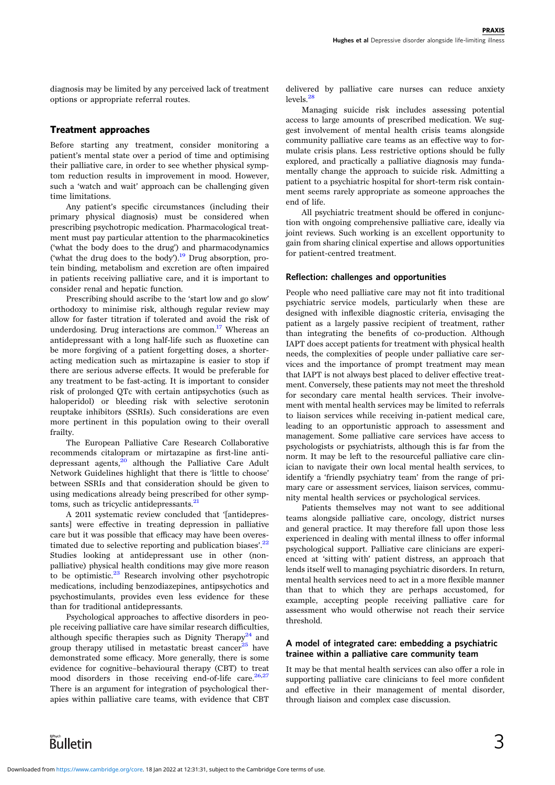diagnosis may be limited by any perceived lack of treatment options or appropriate referral routes.

# Treatment approaches

Before starting any treatment, consider monitoring a patient's mental state over a period of time and optimising their palliative care, in order to see whether physical symptom reduction results in improvement in mood. However, such a 'watch and wait' approach can be challenging given time limitations.

Any patient's specific circumstances (including their primary physical diagnosis) must be considered when prescribing psychotropic medication. Pharmacological treatment must pay particular attention to the pharmacokinetics ('what the body does to the drug') and pharmacodynamics ('what the drug does to the body'). $^{19}$  $^{19}$  $^{19}$  Drug absorption, protein binding, metabolism and excretion are often impaired in patients receiving palliative care, and it is important to consider renal and hepatic function.

Prescribing should ascribe to the 'start low and go slow' orthodoxy to minimise risk, although regular review may allow for faster titration if tolerated and avoid the risk of underdosing. Drug interactions are common.<sup>17</sup> Whereas an antidepressant with a long half-life such as fluoxetine can be more forgiving of a patient forgetting doses, a shorteracting medication such as mirtazapine is easier to stop if there are serious adverse effects. It would be preferable for any treatment to be fast-acting. It is important to consider risk of prolonged QTc with certain antipsychotics (such as haloperidol) or bleeding risk with selective serotonin reuptake inhibitors (SSRIs). Such considerations are even more pertinent in this population owing to their overall frailty.

The European Palliative Care Research Collaborative recommends citalopram or mirtazapine as first-line antidepressant agents, $^{20}$  $^{20}$  $^{20}$  although the Palliative Care Adult Network Guidelines highlight that there is 'little to choose' between SSRIs and that consideration should be given to using medications already being prescribed for other symptoms, such as tricyclic antidepressants.<sup>21</sup>

A 2011 systematic review concluded that '[antidepressants] were effective in treating depression in palliative care but it was possible that efficacy may have been overes-timated due to selective reporting and publication biases'.<sup>[22](#page-4-0)</sup> Studies looking at antidepressant use in other (nonpalliative) physical health conditions may give more reason to be optimistic.<sup>[23](#page-4-0)</sup> Research involving other psychotropic medications, including benzodiazepines, antipsychotics and psychostimulants, provides even less evidence for these than for traditional antidepressants.

Psychological approaches to affective disorders in people receiving palliative care have similar research difficulties, although specific therapies such as Dignity Therapy<sup>[24](#page-4-0)</sup> and group therapy utilised in metastatic breast cancer<sup>25</sup> have demonstrated some efficacy. More generally, there is some evidence for cognitive–behavioural therapy (CBT) to treat mood disorders in those receiving end-of-life care. $26,27$  $26,27$  $26,27$ There is an argument for integration of psychological therapies within palliative care teams, with evidence that CBT

delivered by palliative care nurses can reduce anxiety  $levels<sup>28</sup>$  $levels<sup>28</sup>$  $levels<sup>28</sup>$ 

Managing suicide risk includes assessing potential access to large amounts of prescribed medication. We suggest involvement of mental health crisis teams alongside community palliative care teams as an effective way to formulate crisis plans. Less restrictive options should be fully explored, and practically a palliative diagnosis may fundamentally change the approach to suicide risk. Admitting a patient to a psychiatric hospital for short-term risk containment seems rarely appropriate as someone approaches the end of life.

All psychiatric treatment should be offered in conjunction with ongoing comprehensive palliative care, ideally via joint reviews. Such working is an excellent opportunity to gain from sharing clinical expertise and allows opportunities for patient-centred treatment.

#### Reflection: challenges and opportunities

People who need palliative care may not fit into traditional psychiatric service models, particularly when these are designed with inflexible diagnostic criteria, envisaging the patient as a largely passive recipient of treatment, rather than integrating the benefits of co-production. Although IAPT does accept patients for treatment with physical health needs, the complexities of people under palliative care services and the importance of prompt treatment may mean that IAPT is not always best placed to deliver effective treatment. Conversely, these patients may not meet the threshold for secondary care mental health services. Their involvement with mental health services may be limited to referrals to liaison services while receiving in-patient medical care, leading to an opportunistic approach to assessment and management. Some palliative care services have access to psychologists or psychiatrists, although this is far from the norm. It may be left to the resourceful palliative care clinician to navigate their own local mental health services, to identify a 'friendly psychiatry team' from the range of primary care or assessment services, liaison services, community mental health services or psychological services.

Patients themselves may not want to see additional teams alongside palliative care, oncology, district nurses and general practice. It may therefore fall upon those less experienced in dealing with mental illness to offer informal psychological support. Palliative care clinicians are experienced at 'sitting with' patient distress, an approach that lends itself well to managing psychiatric disorders. In return, mental health services need to act in a more flexible manner than that to which they are perhaps accustomed, for example, accepting people receiving palliative care for assessment who would otherwise not reach their service threshold.

## A model of integrated care: embedding a psychiatric trainee within a palliative care community team

It may be that mental health services can also offer a role in supporting palliative care clinicians to feel more confident and effective in their management of mental disorder, through liaison and complex case discussion.

**Bulletin**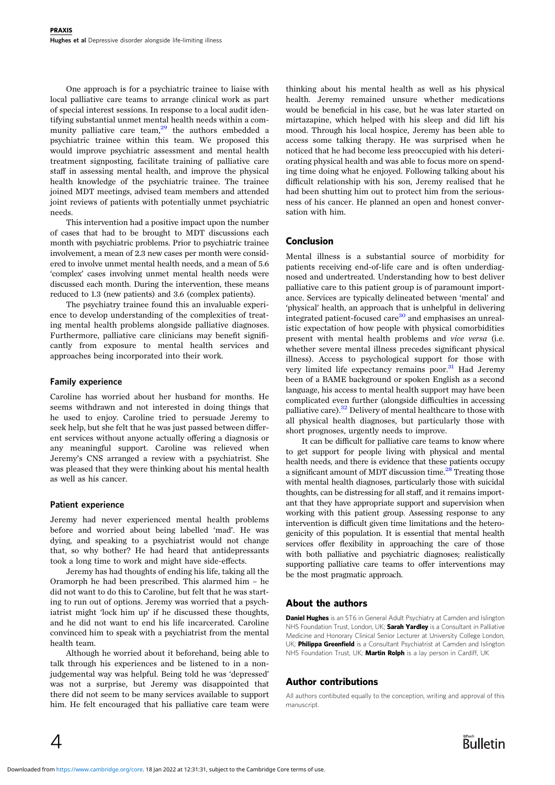One approach is for a psychiatric trainee to liaise with local palliative care teams to arrange clinical work as part of special interest sessions. In response to a local audit identifying substantial unmet mental health needs within a community palliative care team, $29$  the authors embedded a psychiatric trainee within this team. We proposed this would improve psychiatric assessment and mental health treatment signposting, facilitate training of palliative care staff in assessing mental health, and improve the physical health knowledge of the psychiatric trainee. The trainee joined MDT meetings, advised team members and attended joint reviews of patients with potentially unmet psychiatric needs.

This intervention had a positive impact upon the number of cases that had to be brought to MDT discussions each month with psychiatric problems. Prior to psychiatric trainee involvement, a mean of 2.3 new cases per month were considered to involve unmet mental health needs, and a mean of 5.6 'complex' cases involving unmet mental health needs were discussed each month. During the intervention, these means reduced to 1.3 (new patients) and 3.6 (complex patients).

The psychiatry trainee found this an invaluable experience to develop understanding of the complexities of treating mental health problems alongside palliative diagnoses. Furthermore, palliative care clinicians may benefit significantly from exposure to mental health services and approaches being incorporated into their work.

#### Family experience

Caroline has worried about her husband for months. He seems withdrawn and not interested in doing things that he used to enjoy. Caroline tried to persuade Jeremy to seek help, but she felt that he was just passed between different services without anyone actually offering a diagnosis or any meaningful support. Caroline was relieved when Jeremy's CNS arranged a review with a psychiatrist. She was pleased that they were thinking about his mental health as well as his cancer.

#### Patient experience

Jeremy had never experienced mental health problems before and worried about being labelled 'mad'. He was dying, and speaking to a psychiatrist would not change that, so why bother? He had heard that antidepressants took a long time to work and might have side-effects.

Jeremy has had thoughts of ending his life, taking all the Oramorph he had been prescribed. This alarmed him – he did not want to do this to Caroline, but felt that he was starting to run out of options. Jeremy was worried that a psychiatrist might 'lock him up' if he discussed these thoughts, and he did not want to end his life incarcerated. Caroline convinced him to speak with a psychiatrist from the mental health team.

Although he worried about it beforehand, being able to talk through his experiences and be listened to in a nonjudgemental way was helpful. Being told he was 'depressed' was not a surprise, but Jeremy was disappointed that there did not seem to be many services available to support him. He felt encouraged that his palliative care team were

thinking about his mental health as well as his physical health. Jeremy remained unsure whether medications would be beneficial in his case, but he was later started on mirtazapine, which helped with his sleep and did lift his mood. Through his local hospice, Jeremy has been able to access some talking therapy. He was surprised when he noticed that he had become less preoccupied with his deteriorating physical health and was able to focus more on spending time doing what he enjoyed. Following talking about his difficult relationship with his son, Jeremy realised that he had been shutting him out to protect him from the seriousness of his cancer. He planned an open and honest conversation with him.

# Conclusion

Mental illness is a substantial source of morbidity for patients receiving end-of-life care and is often underdiagnosed and undertreated. Understanding how to best deliver palliative care to this patient group is of paramount importance. Services are typically delineated between 'mental' and 'physical' health, an approach that is unhelpful in delivering integrated patient-focused care<sup>[30](#page-4-0)</sup> and emphasises an unrealistic expectation of how people with physical comorbidities present with mental health problems and vice versa (i.e. whether severe mental illness precedes significant physical illness). Access to psychological support for those with very limited life expectancy remains poor.<sup>[31](#page-4-0)</sup> Had Jeremy been of a BAME background or spoken English as a second language, his access to mental health support may have been complicated even further (alongside difficulties in accessing palliative care).<sup>[32](#page-4-0)</sup> Delivery of mental healthcare to those with all physical health diagnoses, but particularly those with short prognoses, urgently needs to improve.

It can be difficult for palliative care teams to know where to get support for people living with physical and mental health needs, and there is evidence that these patients occupy a significant amount of MDT discussion time.<sup>[28](#page-4-0)</sup> Treating those with mental health diagnoses, particularly those with suicidal thoughts, can be distressing for all staff, and it remains important that they have appropriate support and supervision when working with this patient group. Assessing response to any intervention is difficult given time limitations and the heterogenicity of this population. It is essential that mental health services offer flexibility in approaching the care of those with both palliative and psychiatric diagnoses; realistically supporting palliative care teams to offer interventions may be the most pragmatic approach.

# About the authors

**Daniel Hughes** is an ST6 in General Adult Psychiatry at Camden and Islington NHS Foundation Trust, London, UK; Sarah Yardley is a Consultant in Palliative Medicine and Honorary Clinical Senior Lecturer at University College London, UK; **Philippa Greenfield** is a Consultant Psychiatrist at Camden and Islington NHS Foundation Trust, UK; Martin Rolph is a lay person in Cardiff, UK

# Author contributions

All authors contibuted equally to the conception, writing and approval of this manuscript.

 $\overline{4}$